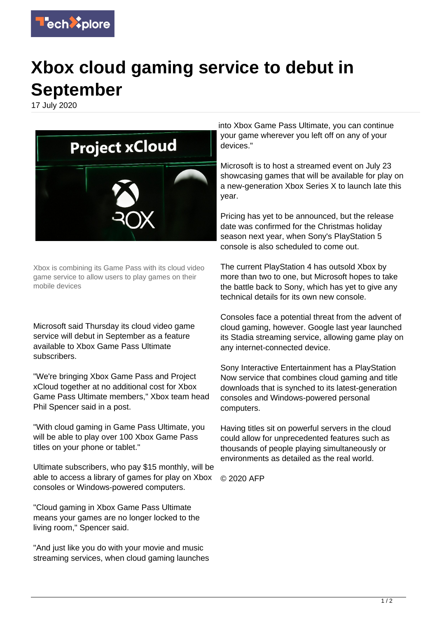

## **Xbox cloud gaming service to debut in September**

17 July 2020



Xbox is combining its Game Pass with its cloud video game service to allow users to play games on their mobile devices

Microsoft said Thursday its cloud video game service will debut in September as a feature available to Xbox Game Pass Ultimate subscribers.

"We're bringing Xbox Game Pass and Project xCloud together at no additional cost for Xbox Game Pass Ultimate members," Xbox team head Phil Spencer said in a post.

"With cloud gaming in Game Pass Ultimate, you will be able to play over 100 Xbox Game Pass titles on your phone or tablet."

Ultimate subscribers, who pay \$15 monthly, will be able to access a library of games for play on Xbox consoles or Windows-powered computers.

"Cloud gaming in Xbox Game Pass Ultimate means your games are no longer locked to the living room," Spencer said.

"And just like you do with your movie and music streaming services, when cloud gaming launches into Xbox Game Pass Ultimate, you can continue your game wherever you left off on any of your devices."

Microsoft is to host a streamed event on July 23 showcasing games that will be available for play on a new-generation Xbox Series X to launch late this year.

Pricing has yet to be announced, but the release date was confirmed for the Christmas holiday season next year, when Sony's PlayStation 5 console is also scheduled to come out.

The current PlayStation 4 has outsold Xbox by more than two to one, but Microsoft hopes to take the battle back to Sony, which has yet to give any technical details for its own new console.

Consoles face a potential threat from the advent of cloud gaming, however. Google last year launched its Stadia streaming service, allowing game play on any internet-connected device.

Sony Interactive Entertainment has a PlayStation Now service that combines cloud gaming and title downloads that is synched to its latest-generation consoles and Windows-powered personal computers.

Having titles sit on powerful servers in the cloud could allow for unprecedented features such as thousands of people playing simultaneously or environments as detailed as the real world.

© 2020 AFP